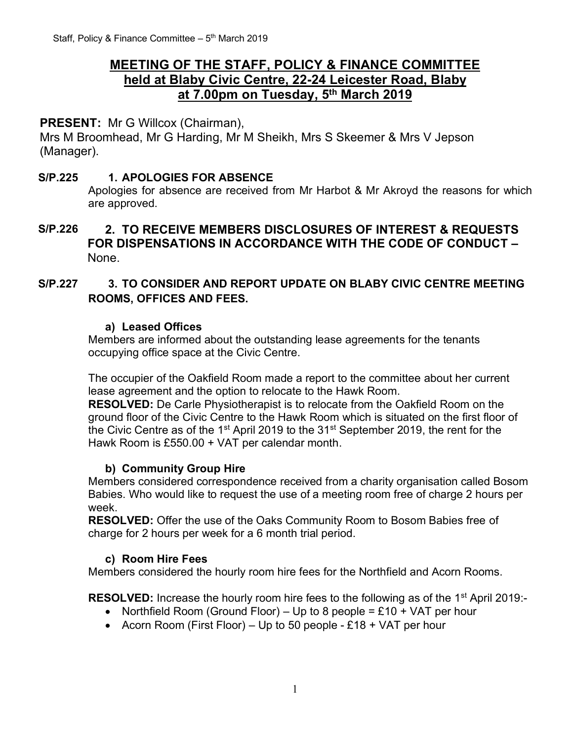# **MEETING OF THE STAFF, POLICY & FINANCE COMMITTEE held at Blaby Civic Centre, 22-24 Leicester Road, Blaby at 7.00pm on Tuesday, 5 th March 2019**

## **PRESENT:** Mr G Willcox (Chairman),

Mrs M Broomhead, Mr G Harding, Mr M Sheikh, Mrs S Skeemer & Mrs V Jepson (Manager).

#### **S/P.225 1. APOLOGIES FOR ABSENCE**

Apologies for absence are received from Mr Harbot & Mr Akroyd the reasons for which are approved.

#### **S/P.226 2. TO RECEIVE MEMBERS DISCLOSURES OF INTEREST & REQUESTS FOR DISPENSATIONS IN ACCORDANCE WITH THE CODE OF CONDUCT –** None.

#### **S/P.227 3. TO CONSIDER AND REPORT UPDATE ON BLABY CIVIC CENTRE MEETING ROOMS, OFFICES AND FEES.**

#### **a) Leased Offices**

Members are informed about the outstanding lease agreements for the tenants occupying office space at the Civic Centre.

The occupier of the Oakfield Room made a report to the committee about her current lease agreement and the option to relocate to the Hawk Room.

**RESOLVED:** De Carle Physiotherapist is to relocate from the Oakfield Room on the ground floor of the Civic Centre to the Hawk Room which is situated on the first floor of the Civic Centre as of the 1<sup>st</sup> April 2019 to the 31<sup>st</sup> September 2019, the rent for the Hawk Room is £550.00 + VAT per calendar month.

#### **b) Community Group Hire**

Members considered correspondence received from a charity organisation called Bosom Babies. Who would like to request the use of a meeting room free of charge 2 hours per week.

**RESOLVED:** Offer the use of the Oaks Community Room to Bosom Babies free of charge for 2 hours per week for a 6 month trial period.

#### **c) Room Hire Fees**

Members considered the hourly room hire fees for the Northfield and Acorn Rooms.

**RESOLVED:** Increase the hourly room hire fees to the following as of the 1<sup>st</sup> April 2019:-

- Northfield Room (Ground Floor) Up to 8 people = £10 + VAT per hour
- Acorn Room (First Floor) Up to 50 people £18 + VAT per hour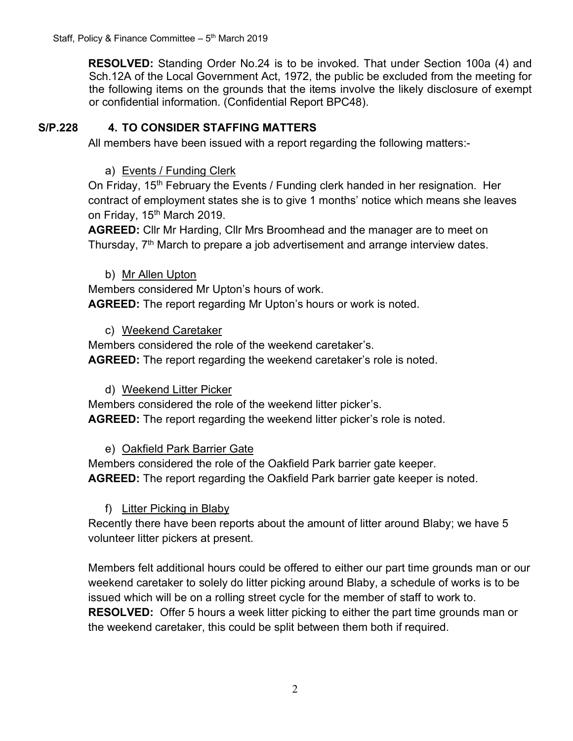**RESOLVED:** Standing Order No.24 is to be invoked. That under Section 100a (4) and Sch.12A of the Local Government Act, 1972, the public be excluded from the meeting for the following items on the grounds that the items involve the likely disclosure of exempt or confidential information. (Confidential Report BPC48).

## **S/P.228 4. TO CONSIDER STAFFING MATTERS**

All members have been issued with a report regarding the following matters:-

## a) Events / Funding Clerk

On Friday, 15<sup>th</sup> February the Events / Funding clerk handed in her resignation. Her contract of employment states she is to give 1 months' notice which means she leaves on Friday, 15<sup>th</sup> March 2019.

**AGREED:** Cllr Mr Harding, Cllr Mrs Broomhead and the manager are to meet on Thursday,  $7<sup>th</sup>$  March to prepare a job advertisement and arrange interview dates.

#### b) Mr Allen Upton

Members considered Mr Upton's hours of work.

**AGREED:** The report regarding Mr Upton's hours or work is noted.

## c) Weekend Caretaker

Members considered the role of the weekend caretaker's. **AGREED:** The report regarding the weekend caretaker's role is noted.

## d) Weekend Litter Picker

Members considered the role of the weekend litter picker's. **AGREED:** The report regarding the weekend litter picker's role is noted.

## e) Oakfield Park Barrier Gate

Members considered the role of the Oakfield Park barrier gate keeper. **AGREED:** The report regarding the Oakfield Park barrier gate keeper is noted.

## f) Litter Picking in Blaby

Recently there have been reports about the amount of litter around Blaby; we have 5 volunteer litter pickers at present.

Members felt additional hours could be offered to either our part time grounds man or our weekend caretaker to solely do litter picking around Blaby, a schedule of works is to be issued which will be on a rolling street cycle for the member of staff to work to. **RESOLVED:** Offer 5 hours a week litter picking to either the part time grounds man or the weekend caretaker, this could be split between them both if required.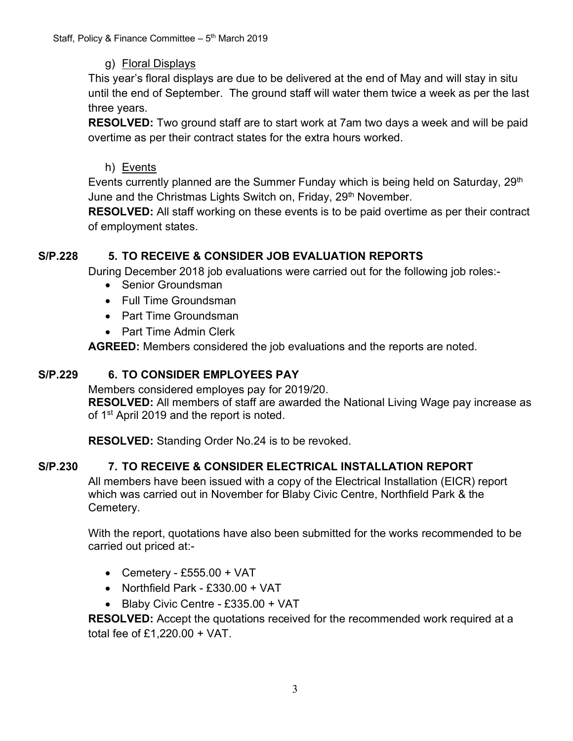## g) Floral Displays

This year's floral displays are due to be delivered at the end of May and will stay in situ until the end of September. The ground staff will water them twice a week as per the last three years.

**RESOLVED:** Two ground staff are to start work at 7am two days a week and will be paid overtime as per their contract states for the extra hours worked.

#### h) Events

Events currently planned are the Summer Funday which is being held on Saturday, 29<sup>th</sup> June and the Christmas Lights Switch on, Friday, 29<sup>th</sup> November.

**RESOLVED:** All staff working on these events is to be paid overtime as per their contract of employment states.

## **S/P.228 5. TO RECEIVE & CONSIDER JOB EVALUATION REPORTS**

During December 2018 job evaluations were carried out for the following job roles:-

- Senior Groundsman
- Full Time Groundsman
- Part Time Groundsman
- Part Time Admin Clerk

**AGREED:** Members considered the job evaluations and the reports are noted.

## **S/P.229 6. TO CONSIDER EMPLOYEES PAY**

Members considered employes pay for 2019/20.

**RESOLVED:** All members of staff are awarded the National Living Wage pay increase as of 1<sup>st</sup> April 2019 and the report is noted.

**RESOLVED:** Standing Order No.24 is to be revoked.

# **S/P.230 7. TO RECEIVE & CONSIDER ELECTRICAL INSTALLATION REPORT**

All members have been issued with a copy of the Electrical Installation (EICR) report which was carried out in November for Blaby Civic Centre, Northfield Park & the Cemetery.

With the report, quotations have also been submitted for the works recommended to be carried out priced at:-

- Cemetery £555.00 + VAT
- Northfield Park £330.00 + VAT
- Blaby Civic Centre £335.00 + VAT

**RESOLVED:** Accept the quotations received for the recommended work required at a total fee of £1,220.00 + VAT.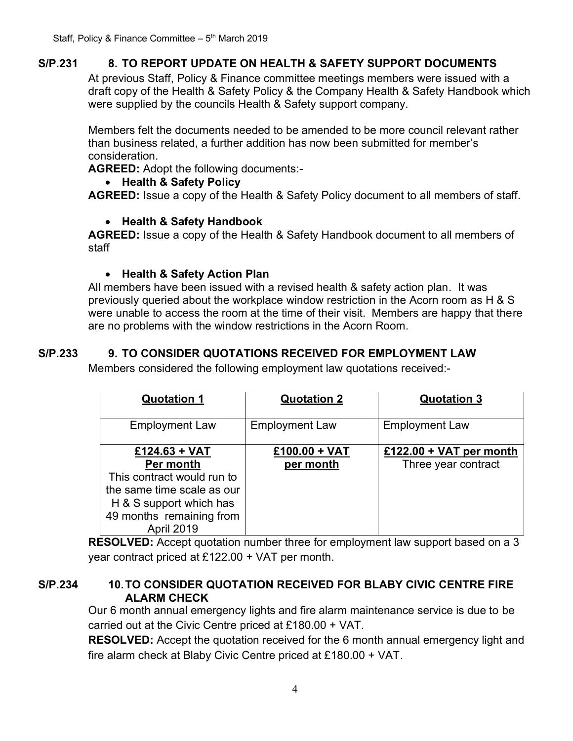# **S/P.231 8. TO REPORT UPDATE ON HEALTH & SAFETY SUPPORT DOCUMENTS**

At previous Staff, Policy & Finance committee meetings members were issued with a draft copy of the Health & Safety Policy & the Company Health & Safety Handbook which were supplied by the councils Health & Safety support company.

Members felt the documents needed to be amended to be more council relevant rather than business related, a further addition has now been submitted for member's consideration.

**AGREED:** Adopt the following documents:-

## • **Health & Safety Policy**

**AGREED:** Issue a copy of the Health & Safety Policy document to all members of staff.

## • **Health & Safety Handbook**

**AGREED:** Issue a copy of the Health & Safety Handbook document to all members of staff

## • **Health & Safety Action Plan**

All members have been issued with a revised health & safety action plan. It was previously queried about the workplace window restriction in the Acorn room as H & S were unable to access the room at the time of their visit. Members are happy that there are no problems with the window restrictions in the Acorn Room.

# **S/P.233 9. TO CONSIDER QUOTATIONS RECEIVED FOR EMPLOYMENT LAW**

Members considered the following employment law quotations received:-

| <b>Quotation 1</b>         | <b>Quotation 2</b>    | <b>Quotation 3</b>      |
|----------------------------|-----------------------|-------------------------|
|                            |                       |                         |
| <b>Employment Law</b>      | <b>Employment Law</b> | <b>Employment Law</b>   |
|                            |                       |                         |
| $£124.63 + VAT$            | $£100.00 + VAT$       | £122.00 + VAT per month |
| Per month                  | per month             | Three year contract     |
| This contract would run to |                       |                         |
| the same time scale as our |                       |                         |
| H & S support which has    |                       |                         |
| 49 months remaining from   |                       |                         |
| April 2019                 |                       |                         |

**RESOLVED:** Accept quotation number three for employment law support based on a 3 year contract priced at £122.00 + VAT per month.

#### **S/P.234 10.TO CONSIDER QUOTATION RECEIVED FOR BLABY CIVIC CENTRE FIRE ALARM CHECK**

Our 6 month annual emergency lights and fire alarm maintenance service is due to be carried out at the Civic Centre priced at £180.00 + VAT.

**RESOLVED:** Accept the quotation received for the 6 month annual emergency light and fire alarm check at Blaby Civic Centre priced at £180.00 + VAT.